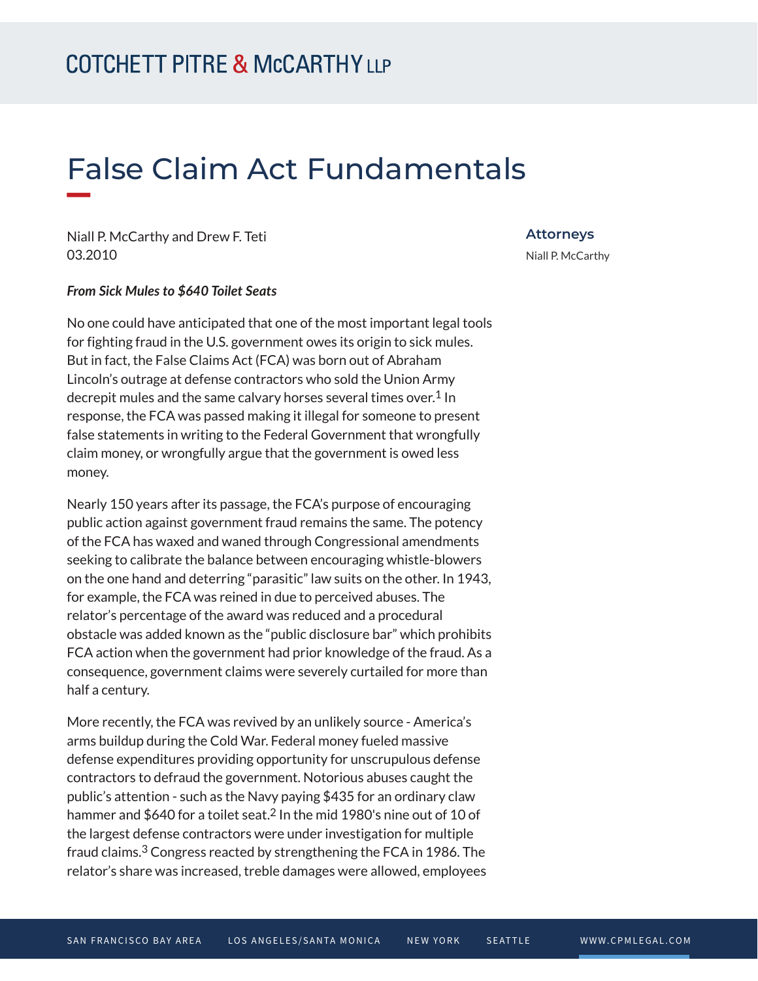# False Claim Act Fundamentals

Niall P. McCarthy and Drew F. Teti 03.2010

### **Attorneys** Niall P. McCarthy

#### *From Sick Mules to \$640 Toilet Seats*

No one could have anticipated that one of the most important legal tools for fighting fraud in the U.S. government owes its origin to sick mules. But in fact, the False Claims Act (FCA) was born out of Abraham Lincoln's outrage at defense contractors who sold the Union Army decrepit mules and the same calvary horses several times over.<sup>1</sup> In response, the FCA was passed making it illegal for someone to present false statements in writing to the Federal Government that wrongfully claim money, or wrongfully argue that the government is owed less money.

Nearly 150 years after its passage, the FCA's purpose of encouraging public action against government fraud remains the same. The potency of the FCA has waxed and waned through Congressional amendments seeking to calibrate the balance between encouraging whistle-blowers on the one hand and deterring "parasitic" law suits on the other. In 1943, for example, the FCA was reined in due to perceived abuses. The relator's percentage of the award was reduced and a procedural obstacle was added known as the "public disclosure bar" which prohibits FCA action when the government had prior knowledge of the fraud. As a consequence, government claims were severely curtailed for more than half a century.

More recently, the FCA was revived by an unlikely source - America's arms buildup during the Cold War. Federal money fueled massive defense expenditures providing opportunity for unscrupulous defense contractors to defraud the government. Notorious abuses caught the public's attention - such as the Navy paying \$435 for an ordinary claw hammer and \$640 for a toilet seat.<sup>2</sup> In the mid 1980's nine out of 10 of the largest defense contractors were under investigation for multiple fraud claims.3 Congress reacted by strengthening the FCA in 1986. The relator's share was increased, treble damages were allowed, employees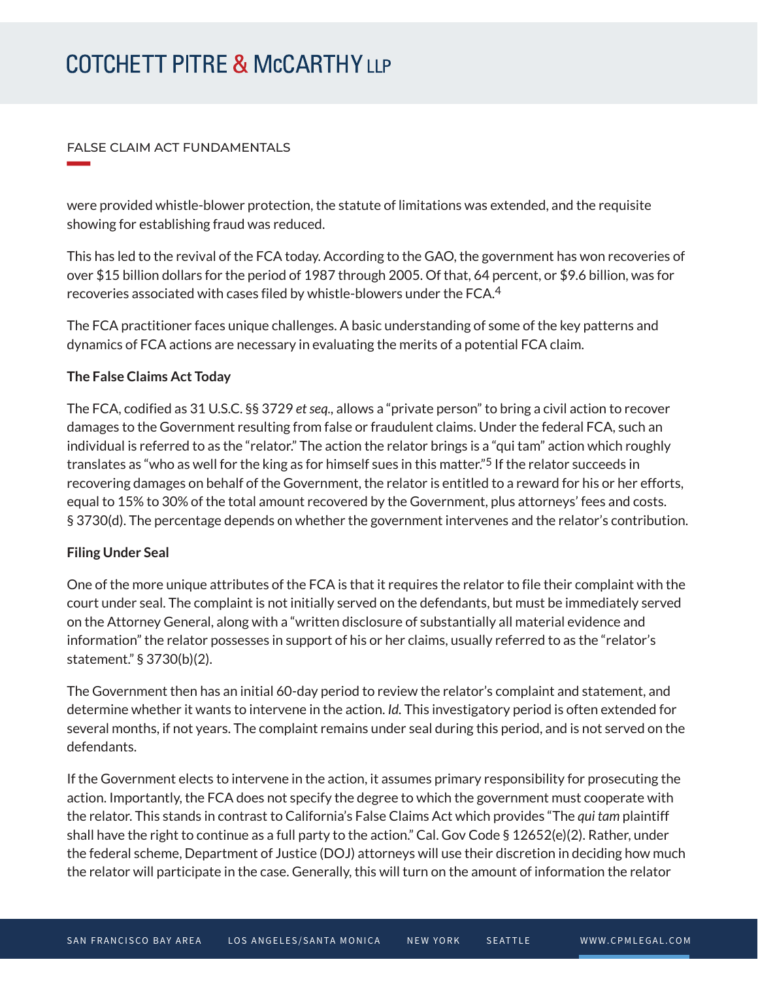#### FALSE CLAIM ACT FUNDAMENTALS

**William Company** 

were provided whistle-blower protection, the statute of limitations was extended, and the requisite showing for establishing fraud was reduced.

This has led to the revival of the FCA today. According to the GAO, the government has won recoveries of over \$15 billion dollars for the period of 1987 through 2005. Of that, 64 percent, or \$9.6 billion, was for recoveries associated with cases filed by whistle-blowers under the FCA.4

The FCA practitioner faces unique challenges. A basic understanding of some of the key patterns and dynamics of FCA actions are necessary in evaluating the merits of a potential FCA claim.

## **The False Claims Act Today**

The FCA, codified as 31 U.S.C. §§ 3729 *et seq.,* allows a "private person" to bring a civil action to recover damages to the Government resulting from false or fraudulent claims. Under the federal FCA, such an individual is referred to as the "relator." The action the relator brings is a "qui tam" action which roughly translates as "who as well for the king as for himself sues in this matter."5 If the relator succeeds in recovering damages on behalf of the Government, the relator is entitled to a reward for his or her efforts, equal to 15% to 30% of the total amount recovered by the Government, plus attorneys' fees and costs. § 3730(d). The percentage depends on whether the government intervenes and the relator's contribution.

## **Filing Under Seal**

One of the more unique attributes of the FCA is that it requires the relator to file their complaint with the court under seal. The complaint is not initially served on the defendants, but must be immediately served on the Attorney General, along with a "written disclosure of substantially all material evidence and information" the relator possesses in support of his or her claims, usually referred to as the "relator's statement." § 3730(b)(2).

The Government then has an initial 60-day period to review the relator's complaint and statement, and determine whether it wants to intervene in the action. *Id.* This investigatory period is often extended for several months, if not years. The complaint remains under seal during this period, and is not served on the defendants.

If the Government elects to intervene in the action, it assumes primary responsibility for prosecuting the action. Importantly, the FCA does not specify the degree to which the government must cooperate with the relator. This stands in contrast to California's False Claims Act which provides "The *qui tam* plaintiff shall have the right to continue as a full party to the action." Cal. Gov Code § 12652(e)(2). Rather, under the federal scheme, Department of Justice (DOJ) attorneys will use their discretion in deciding how much the relator will participate in the case. Generally, this will turn on the amount of information the relator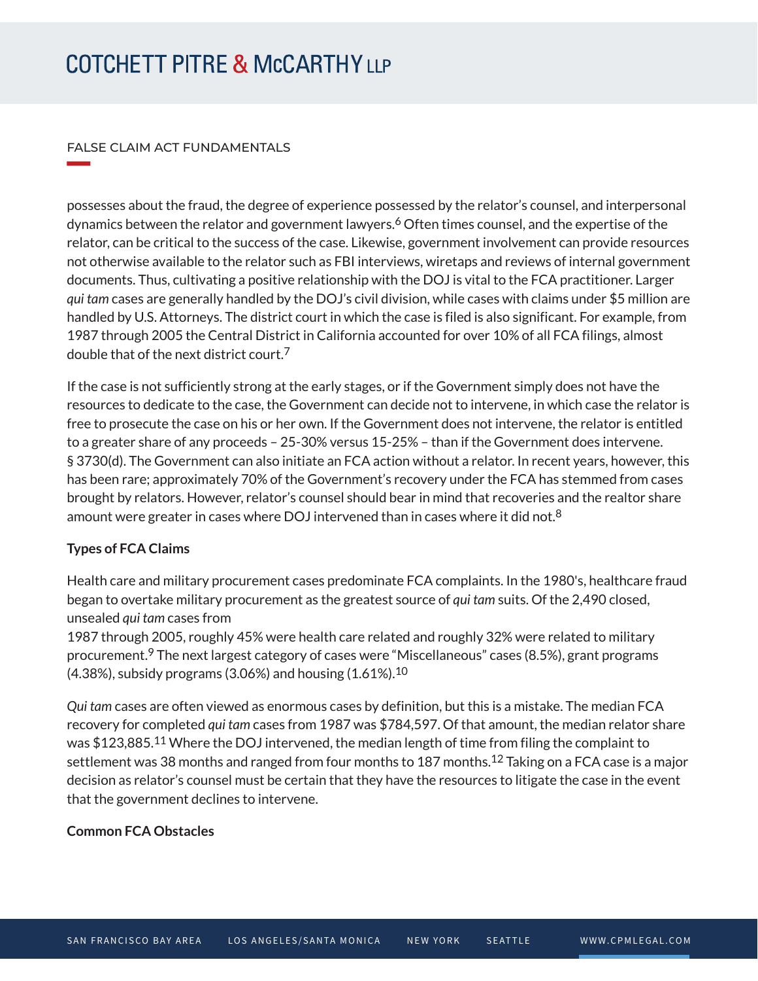#### FALSE CLAIM ACT FUNDAMENTALS

**William Company** 

possesses about the fraud, the degree of experience possessed by the relator's counsel, and interpersonal dynamics between the relator and government lawyers.<sup>6</sup> Often times counsel, and the expertise of the relator, can be critical to the success of the case. Likewise, government involvement can provide resources not otherwise available to the relator such as FBI interviews, wiretaps and reviews of internal government documents. Thus, cultivating a positive relationship with the DOJ is vital to the FCA practitioner. Larger *qui tam* cases are generally handled by the DOJ's civil division, while cases with claims under \$5 million are handled by U.S. Attorneys. The district court in which the case is filed is also significant. For example, from 1987 through 2005 the Central District in California accounted for over 10% of all FCA filings, almost double that of the next district court.7

If the case is not sufficiently strong at the early stages, or if the Government simply does not have the resources to dedicate to the case, the Government can decide not to intervene, in which case the relator is free to prosecute the case on his or her own. If the Government does not intervene, the relator is entitled to a greater share of any proceeds – 25-30% versus 15-25% – than if the Government does intervene. § 3730(d). The Government can also initiate an FCA action without a relator. In recent years, however, this has been rare; approximately 70% of the Government's recovery under the FCA has stemmed from cases brought by relators. However, relator's counsel should bear in mind that recoveries and the realtor share amount were greater in cases where DOJ intervened than in cases where it did not.<sup>8</sup>

# **Types of FCA Claims**

Health care and military procurement cases predominate FCA complaints. In the 1980's, healthcare fraud began to overtake military procurement as the greatest source of *qui tam* suits. Of the 2,490 closed, unsealed *qui tam* cases from

1987 through 2005, roughly 45% were health care related and roughly 32% were related to military procurement.9 The next largest category of cases were "Miscellaneous" cases (8.5%), grant programs  $(4.38\%)$ , subsidy programs (3.06%) and housing  $(1.61\%)$ .<sup>10</sup>

*Qui tam* cases are often viewed as enormous cases by definition, but this is a mistake. The median FCA recovery for completed *qui tam* cases from 1987 was \$784,597. Of that amount, the median relator share was \$123,885.<sup>11</sup> Where the DOJ intervened, the median length of time from filing the complaint to settlement was 38 months and ranged from four months to 187 months.<sup>12</sup> Taking on a FCA case is a major decision as relator's counsel must be certain that they have the resources to litigate the case in the event that the government declines to intervene.

# **Common FCA Obstacles**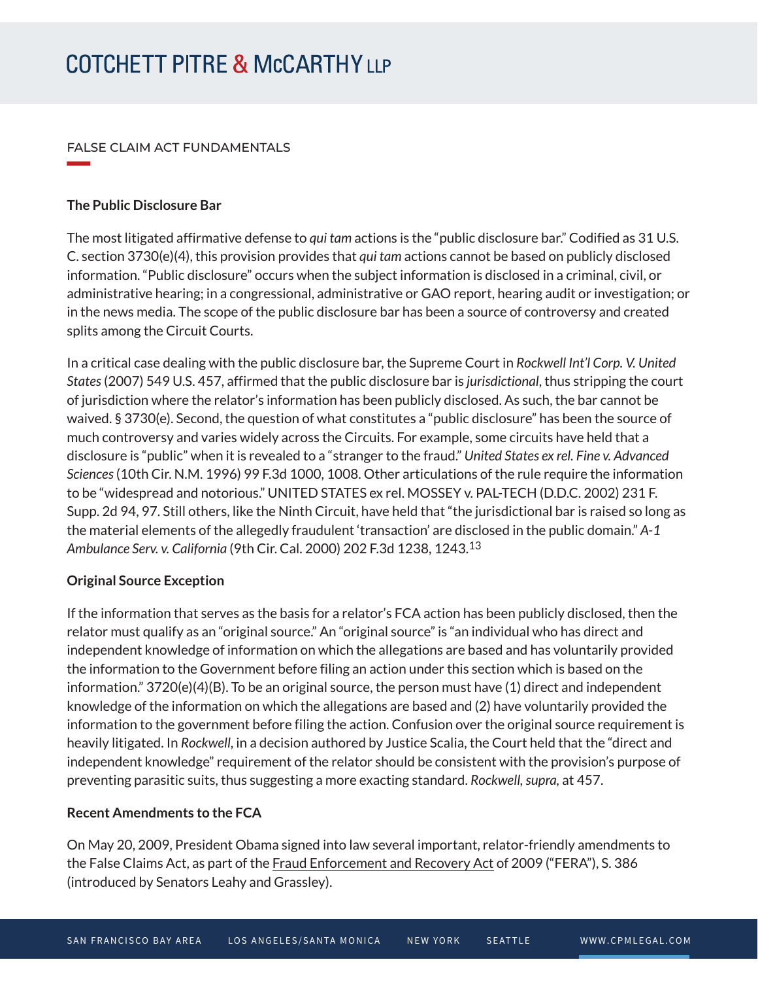### FALSE CLAIM ACT FUNDAMENTALS

#### **The Public Disclosure Bar**

**William Company** 

The most litigated affirmative defense to *qui tam* actions is the "public disclosure bar." Codified as 31 U.S. C. section 3730(e)(4), this provision provides that *qui tam* actions cannot be based on publicly disclosed information. "Public disclosure" occurs when the subject information is disclosed in a criminal, civil, or administrative hearing; in a congressional, administrative or GAO report, hearing audit or investigation; or in the news media. The scope of the public disclosure bar has been a source of controversy and created splits among the Circuit Courts.

In a critical case dealing with the public disclosure bar, the Supreme Court in *Rockwell Int'l Corp. V. United States* (2007) 549 U.S. 457, affirmed that the public disclosure bar is *jurisdictional*, thus stripping the court of jurisdiction where the relator's information has been publicly disclosed. As such, the bar cannot be waived. § 3730(e). Second, the question of what constitutes a "public disclosure" has been the source of much controversy and varies widely across the Circuits. For example, some circuits have held that a disclosure is "public" when it is revealed to a "stranger to the fraud." *United States ex rel. Fine v. Advanced Sciences* (10th Cir. N.M. 1996) 99 F.3d 1000, 1008. Other articulations of the rule require the information to be "widespread and notorious." UNITED STATES ex rel. MOSSEY v. PAL-TECH (D.D.C. 2002) 231 F. Supp. 2d 94, 97. Still others, like the Ninth Circuit, have held that "the jurisdictional bar is raised so long as the material elements of the allegedly fraudulent 'transaction' are disclosed in the public domain." *A-1 Ambulance Serv. v. California* (9th Cir. Cal. 2000) 202 F.3d 1238, 1243.13

## **Original Source Exception**

If the information that serves as the basis for a relator's FCA action has been publicly disclosed, then the relator must qualify as an "original source." An "original source" is "an individual who has direct and independent knowledge of information on which the allegations are based and has voluntarily provided the information to the Government before filing an action under this section which is based on the information." 3720(e)(4)(B). To be an original source, the person must have (1) direct and independent knowledge of the information on which the allegations are based and (2) have voluntarily provided the information to the government before filing the action. Confusion over the original source requirement is heavily litigated. In *Rockwell*, in a decision authored by Justice Scalia, the Court held that the "direct and independent knowledge" requirement of the relator should be consistent with the provision's purpose of preventing parasitic suits, thus suggesting a more exacting standard. *Rockwell, supra,* at 457.

## **Recent Amendments to the FCA**

On May 20, 2009, President Obama signed into law several important, relator-friendly amendments to the False Claims Act, as part of the Fraud Enforcement and Recovery Act of 2009 ("FERA"), S. 386 (introduced by Senators Leahy and Grassley).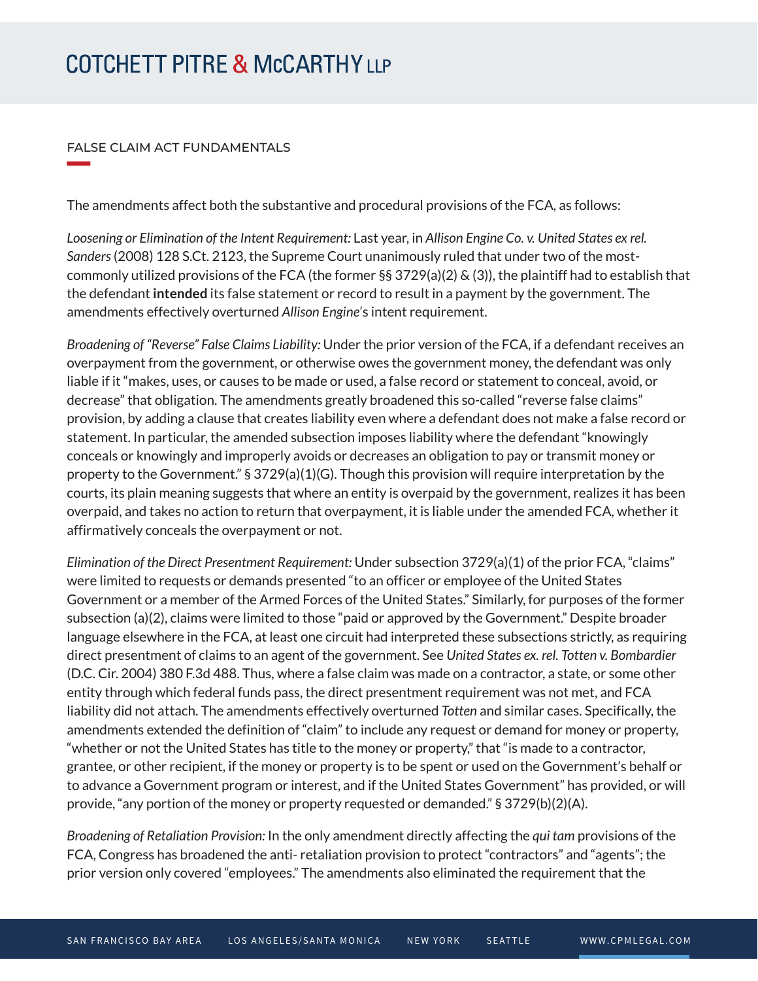#### FALSE CLAIM ACT FUNDAMENTALS

**William Company** 

The amendments affect both the substantive and procedural provisions of the FCA, as follows:

*Loosening or Elimination of the Intent Requirement:* Last year, in *Allison Engine Co. v. United States ex rel. Sanders* (2008) 128 S.Ct. 2123, the Supreme Court unanimously ruled that under two of the mostcommonly utilized provisions of the FCA (the former §§ 3729(a)(2) & (3)), the plaintiff had to establish that the defendant **intended** its false statement or record to result in a payment by the government. The amendments effectively overturned *Allison Engine*'s intent requirement.

*Broadening of "Reverse" False Claims Liability:* Under the prior version of the FCA, if a defendant receives an overpayment from the government, or otherwise owes the government money, the defendant was only liable if it "makes, uses, or causes to be made or used, a false record or statement to conceal, avoid, or decrease" that obligation. The amendments greatly broadened this so-called "reverse false claims" provision, by adding a clause that creates liability even where a defendant does not make a false record or statement. In particular, the amended subsection imposes liability where the defendant "knowingly conceals or knowingly and improperly avoids or decreases an obligation to pay or transmit money or property to the Government." § 3729(a)(1)(G). Though this provision will require interpretation by the courts, its plain meaning suggests that where an entity is overpaid by the government, realizes it has been overpaid, and takes no action to return that overpayment, it is liable under the amended FCA, whether it affirmatively conceals the overpayment or not.

*Elimination of the Direct Presentment Requirement:* Under subsection 3729(a)(1) of the prior FCA, "claims" were limited to requests or demands presented "to an officer or employee of the United States Government or a member of the Armed Forces of the United States." Similarly, for purposes of the former subsection (a)(2), claims were limited to those "paid or approved by the Government." Despite broader language elsewhere in the FCA, at least one circuit had interpreted these subsections strictly, as requiring direct presentment of claims to an agent of the government. See *United States ex. rel. Totten v. Bombardier* (D.C. Cir. 2004) 380 F.3d 488. Thus, where a false claim was made on a contractor, a state, or some other entity through which federal funds pass, the direct presentment requirement was not met, and FCA liability did not attach. The amendments effectively overturned *Totten* and similar cases. Specifically, the amendments extended the definition of "claim" to include any request or demand for money or property, "whether or not the United States has title to the money or property," that "is made to a contractor, grantee, or other recipient, if the money or property is to be spent or used on the Government's behalf or to advance a Government program or interest, and if the United States Government" has provided, or will provide, "any portion of the money or property requested or demanded." § 3729(b)(2)(A).

*Broadening of Retaliation Provision:* In the only amendment directly affecting the *qui tam* provisions of the FCA, Congress has broadened the anti- retaliation provision to protect "contractors" and "agents"; the prior version only covered "employees." The amendments also eliminated the requirement that the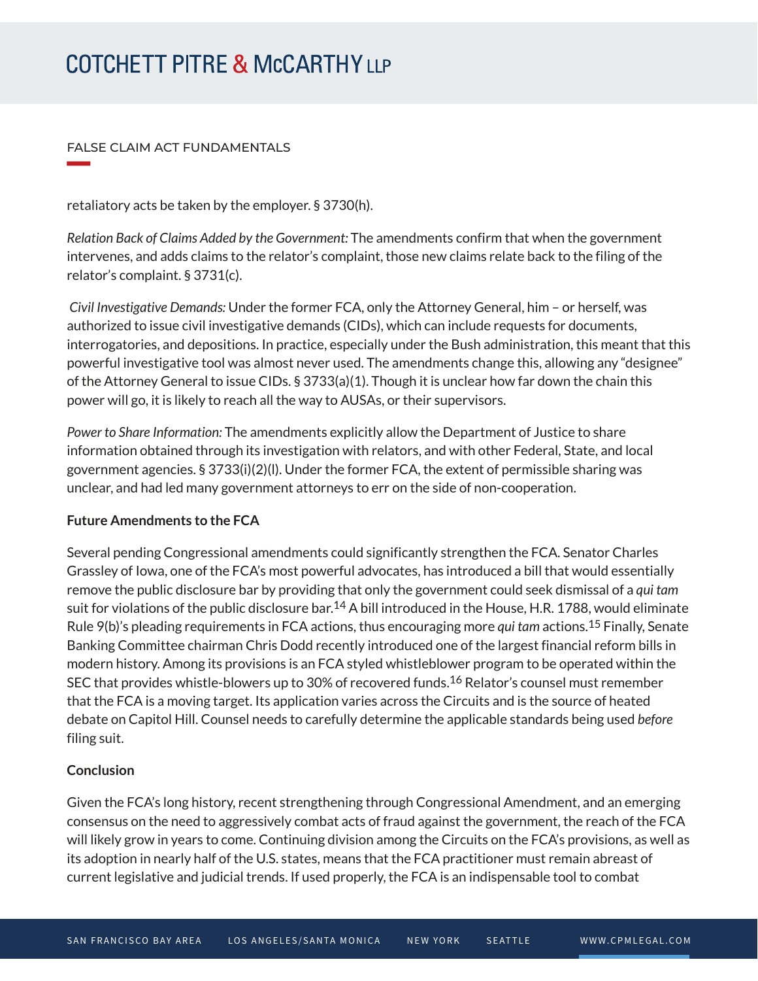#### FALSE CLAIM ACT FUNDAMENTALS

**William Company** 

retaliatory acts be taken by the employer. § 3730(h).

*Relation Back of Claims Added by the Government:* The amendments confirm that when the government intervenes, and adds claims to the relator's complaint, those new claims relate back to the filing of the relator's complaint. § 3731(c).

 *Civil Investigative Demands:* Under the former FCA, only the Attorney General, him – or herself, was authorized to issue civil investigative demands (CIDs), which can include requests for documents, interrogatories, and depositions. In practice, especially under the Bush administration, this meant that this powerful investigative tool was almost never used. The amendments change this, allowing any "designee" of the Attorney General to issue CIDs. § 3733(a)(1). Though it is unclear how far down the chain this power will go, it is likely to reach all the way to AUSAs, or their supervisors.

*Power to Share Information:* The amendments explicitly allow the Department of Justice to share information obtained through its investigation with relators, and with other Federal, State, and local government agencies. § 3733(i)(2)(l). Under the former FCA, the extent of permissible sharing was unclear, and had led many government attorneys to err on the side of non-cooperation.

## **Future Amendments to the FCA**

Several pending Congressional amendments could significantly strengthen the FCA. Senator Charles Grassley of Iowa, one of the FCA's most powerful advocates, has introduced a bill that would essentially remove the public disclosure bar by providing that only the government could seek dismissal of a *qui tam* suit for violations of the public disclosure bar.<sup>14</sup> A bill introduced in the House, H.R. 1788, would eliminate Rule 9(b)'s pleading requirements in FCA actions, thus encouraging more *qui tam* actions.15 Finally, Senate Banking Committee chairman Chris Dodd recently introduced one of the largest financial reform bills in modern history. Among its provisions is an FCA styled whistleblower program to be operated within the SEC that provides whistle-blowers up to 30% of recovered funds.16 Relator's counsel must remember that the FCA is a moving target. Its application varies across the Circuits and is the source of heated debate on Capitol Hill. Counsel needs to carefully determine the applicable standards being used *before* filing suit.

## **Conclusion**

Given the FCA's long history, recent strengthening through Congressional Amendment, and an emerging consensus on the need to aggressively combat acts of fraud against the government, the reach of the FCA will likely grow in years to come. Continuing division among the Circuits on the FCA's provisions, as well as its adoption in nearly half of the U.S. states, means that the FCA practitioner must remain abreast of current legislative and judicial trends. If used properly, the FCA is an indispensable tool to combat